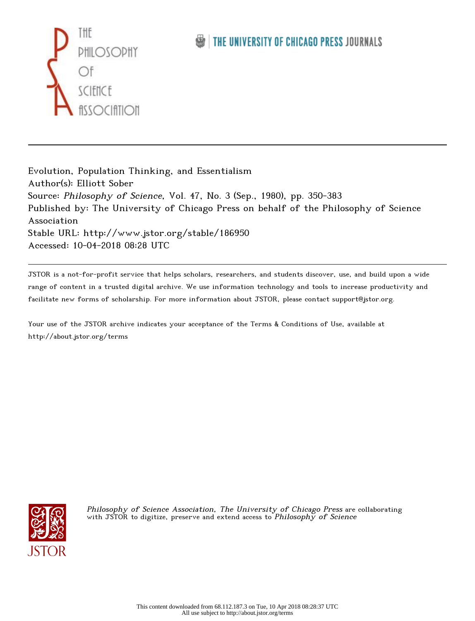# THE UNIVERSITY OF CHICAGO PRESS JOURNALS



Evolution, Population Thinking, and Essentialism Author(s): Elliott Sober Source: Philosophy of Science, Vol. 47, No. 3 (Sep., 1980), pp. 350-383 Published by: The University of Chicago Press on behalf of the Philosophy of Science Association Stable URL: http://www.jstor.org/stable/186950 Accessed: 10-04-2018 08:28 UTC

JSTOR is a not-for-profit service that helps scholars, researchers, and students discover, use, and build upon a wide range of content in a trusted digital archive. We use information technology and tools to increase productivity and facilitate new forms of scholarship. For more information about JSTOR, please contact support@jstor.org.

Your use of the JSTOR archive indicates your acceptance of the Terms & Conditions of Use, available at http://about.jstor.org/terms



Philosophy of Science Association, The University of Chicago Press are collaborating with JSTOR to digitize, preserve and extend access to  $Philosophy$  of Science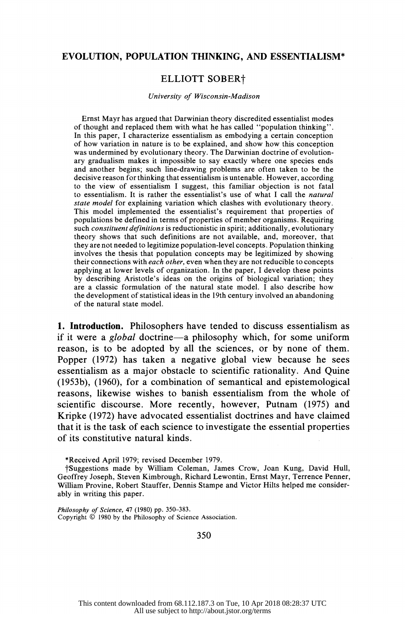# EVOLUTION, POPULATION THINKING, AND ESSENTIALISM\*

# ELLIOTT SOBERt

#### University of Wisconsin-Madison

 Ernst Mayr has argued that Darwinian theory discredited essentialist modes of thought and replaced them with what he has called "population thinking". In this paper, I characterize essentialism as embodying a certain conception of how variation in nature is to be explained, and show how this conception was undermined by evolutionary theory. The Darwinian doctrine of evolution ary gradualism makes it impossible to say exactly where one species ends and another begins; such line-drawing problems are often taken to be the decisive reason for thinking that essentialism is untenable. However, according to the view of essentialism I suggest, this familiar objection is not fatal to essentialism. It is rather the essentialist's use of what I call the natural state model for explaining variation which clashes with evolutionary theory. This model implemented the essentialist's requirement that properties of populations be defined in terms of properties of member organisms. Requiring such *constituent definitions* is reductionistic in spirit; additionally, evolutionary theory shows that such definitions are not available, and, moreover, that they are not needed to legitimize population-level concepts. Population thinking involves the thesis that population concepts may be legitimized by showing their connections with each other, even when they are not reducible to concepts applying at lower levels of organization. In the paper, I develop these points by describing Aristotle's ideas on the origins of biological variation; they are a classic formulation of the natural state model. I also describe how the development of statistical ideas in the 19th century involved an abandoning of the natural state model.

 1. Introduction. Philosophers have tended to discuss essentialism as if it were a global doctrine-a philosophy which, for some uniform reason, is to be adopted by all the sciences, or by none of them. Popper (1972) has taken a negative global view because he sees essentialism as a major obstacle to scientific rationality. And Quine (1953b), (1960), for a combination of semantical and epistemological reasons, likewise wishes to banish essentialism from the whole of scientific discourse. More recently, however, Putnam (1975) and Kripke (1972) have advocated essentialist doctrines and have claimed that it is the task of each science to investigate the essential properties of its constitutive natural kinds.

\*Received April 1979; revised December 1979.

 tSuggestions made by William Coleman, James Crow, Joan Kung, David Hull, Geoffrey Joseph, Steven Kimbrough, Richard Lewontin, Ernst Mayr, Terrence Penner, William Provine, Robert Stauffer, Dennis Stampe and Victor Hilts helped me consider ably in writing this paper.

 Philosophy of Science, 47 (1980) pp. 350-383. Copyright  $\odot$  1980 by the Philosophy of Science Association.

350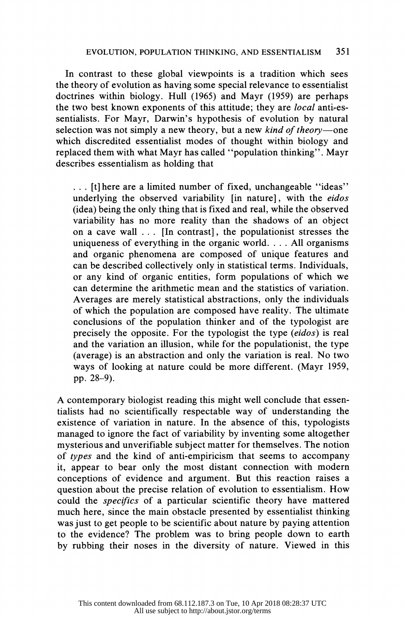In contrast to these global viewpoints is a tradition which sees the theory of evolution as having some special relevance to essentialist doctrines within biology. Hull (1965) and Mayr (1959) are perhaps the two best known exponents of this attitude; they are local anti-es sentialists. For Mayr, Darwin's hypothesis of evolution by natural selection was not simply a new theory, but a new kind of theory—one which discredited essentialist modes of thought within biology and replaced them with what Mayr has called "population thinking". Mayr describes essentialism as holding that

 ... [t]here are a limited number of fixed, unchangeable "ideas" underlying the observed variability [in nature], with the eidos (idea) being the only thing that is fixed and real, while the observed variability has no more reality than the shadows of an object on a cave wall . . . [In contrast], the populationist stresses the uniqueness of everything in the organic world.  $\ldots$  All organisms and organic phenomena are composed of unique features and can be described collectively only in statistical terms. Individuals, or any kind of organic entities, form populations of which we can determine the arithmetic mean and the statistics of variation. Averages are merely statistical abstractions, only the individuals of which the population are composed have reality. The ultimate conclusions of the population thinker and of the typologist are precisely the opposite. For the typologist the type (eidos) is real and the variation an illusion, while for the populationist, the type (average) is an abstraction and only the variation is real. No two ways of looking at nature could be more different. (Mayr 1959, pp. 28-9).

 A contemporary biologist reading this might well conclude that essen tialists had no scientifically respectable way of understanding the existence of variation in nature. In the absence of this, typologists managed to ignore the fact of variability by inventing some altogether mysterious and unverifiable subject matter for themselves. The notion of types and the kind of anti-empiricism that seems to accompany it, appear to bear only the most distant connection with modern conceptions of evidence and argument. But this reaction raises a question about the precise relation of evolution to essentialism. How could the specifics of a particular scientific theory have mattered much here, since the main obstacle presented by essentialist thinking was just to get people to be scientific about nature by paying attention to the evidence? The problem was to bring people down to earth by rubbing their noses in the diversity of nature. Viewed in this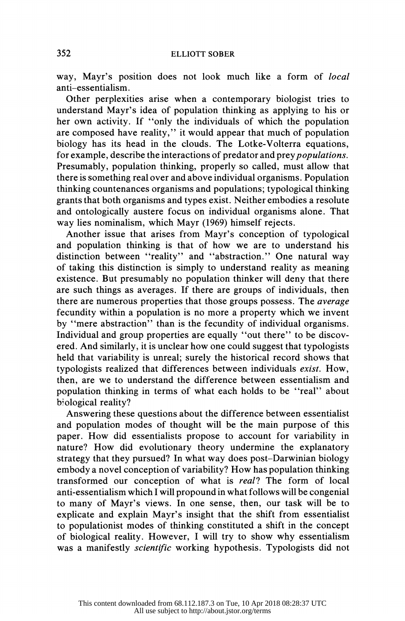way, Mayr's position does not look much like a form of local anti-essentialism.

 Other perplexities arise when a contemporary biologist tries to understand Mayr's idea of population thinking as applying to his or her own activity. If "only the individuals of which the population are composed have reality," it would appear that much of population biology has its head in the clouds. The Lotke-Volterra equations, for example, describe the interactions of predator and prey *populations*. Presumably, population thinking, properly so called, must allow that there is something real over and above individual organisms. Population thinking countenances organisms and populations; typological thinking grants that both organisms and types exist. Neither embodies a resolute and ontologically austere focus on individual organisms alone. That way lies nominalism, which Mayr (1969) himself rejects.

 Another issue that arises from Mayr's conception of typological and population thinking is that of how we are to understand his distinction between "reality" and "abstraction." One natural way of taking this distinction is simply to understand reality as meaning existence. But presumably no population thinker will deny that there are such things as averages. If there are groups of individuals, then there are numerous properties that those groups possess. The average fecundity within a population is no more a property which we invent by "mere abstraction" than is the fecundity of individual organisms. Individual and group properties are equally "out there" to be discov ered. And similarly, it is unclear how one could suggest that typologists held that variability is unreal; surely the historical record shows that typologists realized that differences between individuals exist. How, then, are we to understand the difference between essentialism and population thinking in terms of what each holds to be "real" about biological reality?

 Answering these questions about the difference between essentialist and population modes of thought will be the main purpose of this paper. How did essentialists propose to account for variability in nature? How did evolutionary theory undermine the explanatory strategy that they pursued? In what way does post-Darwinian biology embody a novel conception of variability? How has population thinking transformed our conception of what is real? The form of local anti-essentialism which I will propound in what follows will be congenial to many of Mayr's views. In one sense, then, our task will be to explicate and explain Mayr's insight that the shift from essentialist to populationist modes of thinking constituted a shift in the concept of biological reality. However, I will try to show why essentialism was a manifestly scientific working hypothesis. Typologists did not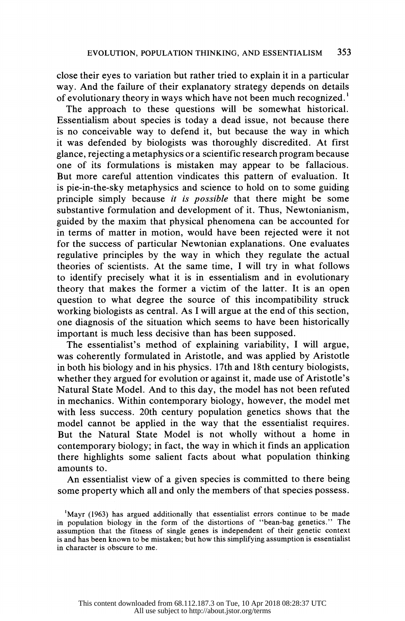close their eyes to variation but rather tried to explain it in a particular way. And the failure of their explanatory strategy depends on details of evolutionary theory in ways which have not been much recognized.<sup>1</sup>

 The approach to these questions will be somewhat historical. Essentialism about species is today a dead issue, not because there is no conceivable way to defend it, but because the way in which it was defended by biologists was thoroughly discredited. At first glance, rejecting a metaphysics or a scientific research program because one of its formulations is mistaken may appear to be fallacious. But more careful attention vindicates this pattern of evaluation. It is pie-in-the-sky metaphysics and science to hold on to some guiding principle simply because it is possible that there might be some substantive formulation and development of it. Thus, Newtonianism, guided by the maxim that physical phenomena can be accounted for in terms of matter in motion, would have been rejected were it not for the success of particular Newtonian explanations. One evaluates regulative principles by the way in which they regulate the actual theories of scientists. At the same time, I will try in what follows to identify precisely what it is in essentialism and in evolutionary theory that makes the former a victim of the latter. It is an open question to what degree the source of this incompatibility struck working biologists as central. As I will argue at the end of this section, one diagnosis of the situation which seems to have been historically important is much less decisive than has been supposed.

 The essentialist's method of explaining variability, I will argue, was coherently formulated in Aristotle, and was applied by Aristotle in both his biology and in his physics. 17th and 18th century biologists, whether they argued for evolution or against it, made use of Aristotle's Natural State Model. And to this day, the model has not been refuted in mechanics. Within contemporary biology, however, the model met with less success. 20th century population genetics shows that the model cannot be applied in the way that the essentialist requires. But the Natural State Model is not wholly without a home in contemporary biology; in fact, the way in which it finds an application there highlights some salient facts about what population thinking amounts to.

 An essentialist view of a given species is committed to there being some property which all and only the members of that species possess.

 <sup>&#</sup>x27;Mayr (1963) has argued additionally that essentialist errors continue to be made in population biology in the form of the distortions of "bean-bag genetics." The assumption that the fitness of single genes is independent of their genetic context is and has been known to be mistaken; but how this simplifying assumption is essentialist in character is obscure to me.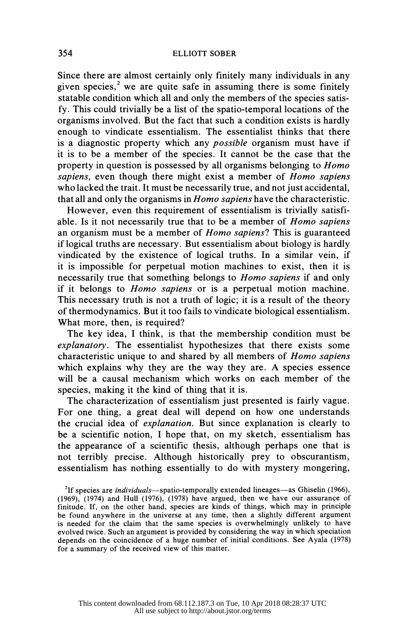Since there are almost certainly only finitely many individuals in any given species, $<sup>2</sup>$  we are quite safe in assuming there is some finitely</sup> statable condition which all and only the members of the species satis fy. This could trivially be a list of the spatio-temporal locations of the organisms involved. But the fact that such a condition exists is hardly enough to vindicate essentialism. The essentialist thinks that there is a diagnostic property which any possible organism must have if it is to be a member of the species. It cannot be the case that the property in question is possessed by all organisms belonging to Homo sapiens, even though there might exist a member of *Homo sapiens*  who lacked the trait. It must be necessarily true, and not just accidental, that all and only the organisms in Homo sapiens have the characteristic.

 However, even this requirement of essentialism is trivially satisfi able. Is it not necessarily true that to be a member of Homo sapiens an organism must be a member of Homo sapiens? This is guaranteed if logical truths are necessary. But essentialism about biology is hardly vindicated by the existence of logical truths. In a similar vein, if it is impossible for perpetual motion machines to exist, then it is necessarily true that something belongs to Homo sapiens if and only if it belongs to Homo sapiens or is a perpetual motion machine. This necessary truth is not a truth of logic; it is a result of the theory of thermodynamics. But it too fails to vindicate biological essentialism. What more, then, is required?

 The key idea, I think, is that the membership condition must be explanatory. The essentialist hypothesizes that there exists some characteristic unique to and shared by all members of Homo sapiens which explains why they are the way they are. A species essence will be a causal mechanism which works on each member of the species, making it the kind of thing that it is.

 The characterization of essentialism just presented is fairly vague. For one thing, a great deal will depend on how one understands the crucial idea of explanation. But since explanation is clearly to be a scientific notion, I hope that, on my sketch, essentialism has the appearance of a scientific thesis, although perhaps one that is not terribly precise. Although historically prey to obscurantism, essentialism has nothing essentially to do with mystery mongering,

<sup>2</sup>If species are *individuals*—spatio-temporally extended lineages—as Ghiselin (1966), (1969), (1974) and Hull (1976), (1978) have argued, then we have our assurance of finitude. If, on the other hand, species are kinds of things, which may in principle be found anywhere in the universe at any time, then a slightly different argument is needed for the claim that the same species is overwhelmingly unlikely to have evolved twice. Such an argument is provided by considering the way in which speciation depends on the coincidence of a huge number of initial conditions. See Ayala (1978) for a summary of the received view of this matter.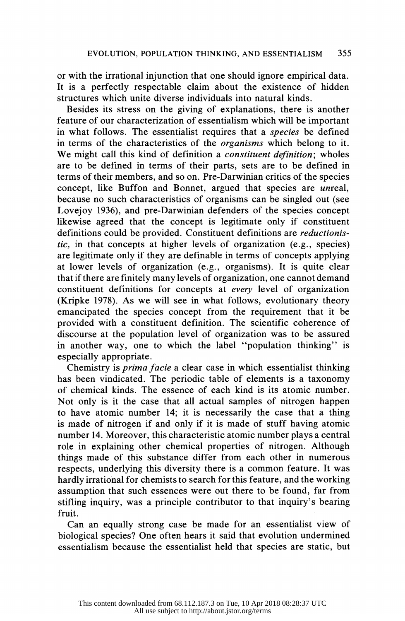or with the irrational injunction that one should ignore empirical data. It is a perfectly respectable claim about the existence of hidden structures which unite diverse individuals into natural kinds.

 Besides its stress on the giving of explanations, there is another feature of our characterization of essentialism which will be important in what follows. The essentialist requires that a *species* be defined in terms of the characteristics of the organisms which belong to it. We might call this kind of definition a *constituent definition*; wholes are to be defined in terms of their parts, sets are to be defined in terms of their members, and so on. Pre-Darwinian critics of the species concept, like Buffon and Bonnet, argued that species are unreal, because no such characteristics of organisms can be singled out (see Lovejoy 1936), and pre-Darwinian defenders of the species concept likewise agreed that the concept is legitimate only if constituent definitions could be provided. Constituent definitions are reductionis tic, in that concepts at higher levels of organization (e.g., species) are legitimate only if they are definable in terms of concepts applying at lower levels of organization (e.g., organisms). It is quite clear that if there are finitely many levels of organization, one cannot demand constituent definitions for concepts at every level of organization (Kripke 1978). As we will see in what follows, evolutionary theory emancipated the species concept from the requirement that it be provided with a constituent definition. The scientific coherence of discourse at the population level of organization was to be assured in another way, one to which the label "population thinking" is especially appropriate.

 Chemistry is prima facie a clear case in which essentialist thinking has been vindicated. The periodic table of elements is a taxonomy of chemical kinds. The essence of each kind is its atomic number. Not only is it the case that all actual samples of nitrogen happen to have atomic number 14; it is necessarily the case that a thing is made of nitrogen if and only if it is made of stuff having atomic number 14. Moreover, this characteristic atomic number plays a central role in explaining other chemical properties of nitrogen. Although things made of this substance differ from each other in numerous respects, underlying this diversity there is a common feature. It was hardly irrational for chemists to search for this feature, and the working assumption that such essences were out there to be found, far from stifling inquiry, was a principle contributor to that inquiry's bearing fruit.

 Can an equally strong case be made for an essentialist view of biological species? One often hears it said that evolution undermined essentialism because the essentialist held that species are static, but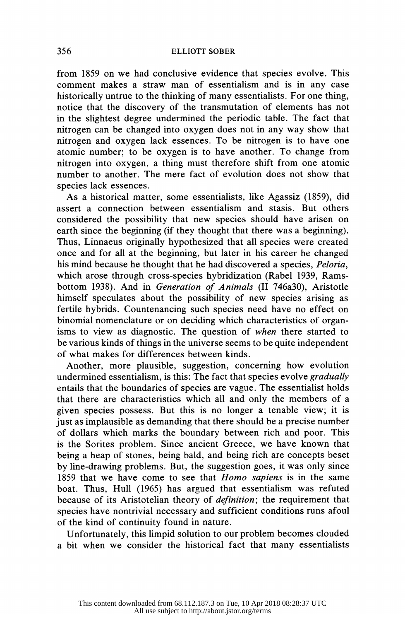from 1859 on we had conclusive evidence that species evolve. This comment makes a straw man of essentialism and is in any case historically untrue to the thinking of many essentialists. For one thing, notice that the discovery of the transmutation of elements has not in the slightest degree undermined the periodic table. The fact that nitrogen can be changed into oxygen does not in any way show that nitrogen and oxygen lack essences. To be nitrogen is to have one atomic number; to be oxygen is to have another. To change from nitrogen into oxygen, a thing must therefore shift from one atomic number to another. The mere fact of evolution does not show that species lack essences.

 As a historical matter, some essentialists, like Agassiz (1859), did assert a connection between essentialism and stasis. But others considered the possibility that new species should have arisen on earth since the beginning (if they thought that there was a beginning). Thus, Linnaeus originally hypothesized that all species were created once and for all at the beginning, but later in his career he changed his mind because he thought that he had discovered a species, Peloria, which arose through cross-species hybridization (Rabel 1939, Rams bottom 1938). And in Generation of Animals (II 746a30), Aristotle himself speculates about the possibility of new species arising as fertile hybrids. Countenancing such species need have no effect on binomial nomenclature or on deciding which characteristics of organ isms to view as diagnostic. The question of when there started to be various kinds of things in the universe seems to be quite independent of what makes for differences between kinds.

 Another, more plausible, suggestion, concerning how evolution undermined essentialism, is this: The fact that species evolve gradually entails that the boundaries of species are vague. The essentialist holds that there are characteristics which all and only the members of a given species possess. But this is no longer a tenable view; it is just as implausible as demanding that there should be a precise number of dollars which marks the boundary between rich and poor. This is the Sorites problem. Since ancient Greece, we have known that being a heap of stones, being bald, and being rich are concepts beset by line-drawing problems. But, the suggestion goes, it was only since 1859 that we have come to see that Homo sapiens is in the same boat. Thus, Hull (1965) has argued that essentialism was refuted because of its Aristotelian theory of definition; the requirement that species have nontrivial necessary and sufficient conditions runs afoul of the kind of continuity found in nature.

 Unfortunately, this limpid solution to our problem becomes clouded a bit when we consider the historical fact that many essentialists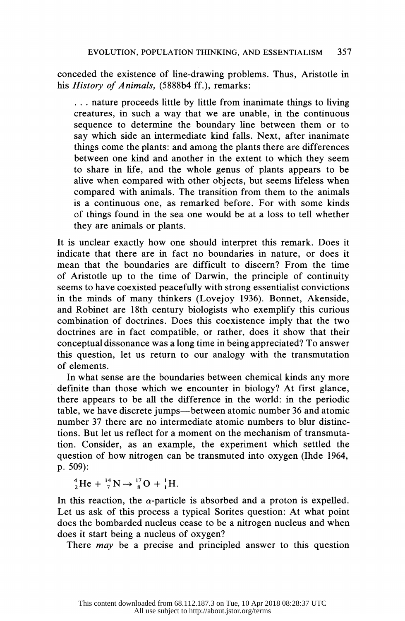conceded the existence of line-drawing problems. Thus, Aristotle in his *History of Animals*. (5888b4 ff.), remarks:

 ... nature proceeds little by little from inanimate things to living creatures, in such a way that we are unable, in the continuous sequence to determine the boundary line between them or to say which side an intermediate kind falls. Next, after inanimate things come the plants: and among the plants there are differences between one kind and another in the extent to which they seem to share in life, and the whole genus of plants appears to be alive when compared with other objects, but seems lifeless when compared with animals. The transition from them to the animals is a continuous one, as remarked before. For with some kinds of things found in the sea one would be at a loss to tell whether they are animals or plants.

 It is unclear exactly how one should interpret this remark. Does it indicate that there are in fact no boundaries in nature, or does it mean that the boundaries are difficult to discern? From the time of Aristotle up to the time of Darwin, the principle of continuity seems to have coexisted peacefully with strong essentialist convictions in the minds of many thinkers (Lovejoy 1936). Bonnet, Akenside, and Robinet are 18th century biologists who exemplify this curious combination of doctrines. Does this coexistence imply that the two doctrines are in fact compatible, or rather, does it show that their conceptual dissonance was a long time in being appreciated? To answer this question, let us return to our analogy with the transmutation of elements.

 In what sense are the boundaries between chemical kinds any more definite than those which we encounter in biology? At first glance, there appears to be all the difference in the world: in the periodic table, we have discrete jumps—between atomic number 36 and atomic number 37 there are no intermediate atomic numbers to blur distinc tions. But let us reflect for a moment on the mechanism of transmuta tion. Consider, as an example, the experiment which settled the question of how nitrogen can be transmuted into oxygen (Ihde 1964, p. 509):

 $^{4}_{2}$ He +  $^{14}_{7}$ N  $\rightarrow$   $^{17}_{8}$ O +  $^{1}_{1}$ H.

p. 509):<br>  ${}_{2}^{4}He + {}_{7}^{14}N \rightarrow {}_{8}^{17}O + {}_{1}^{1}H$ .<br>
In this reaction, the  $\alpha$ -particle is absorbed and a proton is expelled.<br>
Let us ask of this process a typical Sorites question: At what point <sup>4</sup><sub>2</sub>He + <sup>14</sup><sub>2</sub>N  $\rightarrow$  <sup>17</sup><sub>8</sub>O + <sup>1</sup><sub>1</sub>H.<br>In this reaction, the  $\alpha$ -particle is absorbed and a proton is expelled.<br>Let us ask of this process a typical Sorites question: At what point<br>does the bombarded nucleus cease In this reaction, the  $\alpha$ -particle is absorbed and a proton is expelled.<br>Let us ask of this process a typical Sorites question: At what point<br>does the bombarded nucleus cease to be a nitrogen nucleus and when<br>does it sta In this reaction, the  $\alpha$ -particle is absorbed and a proton is expelled.<br>Let us ask of this process a typical Sorites question: At what point<br>does the bombarded nucleus cease to be a nitrogen nucleus and when<br>does it sta

There *may* be a precise and principled answer to this question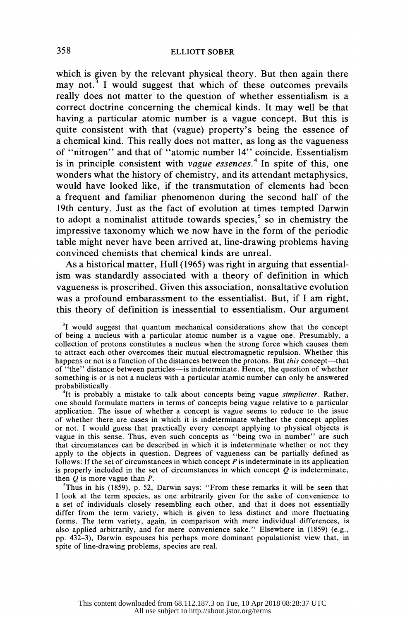which is given by the relevant physical theory. But then again there may not.<sup>3</sup> I would suggest that which of these outcomes prevails really does not matter to the question of whether essentialism is a correct doctrine concerning the chemical kinds. It may well be that having a particular atomic number is a vague concept. But this is quite consistent with that (vague) property's being the essence of a chemical kind. This really does not matter, as long as the vagueness of "nitrogen" and that of "atomic number 14" coincide. Essentialism is in principle consistent with *vague essences*.<sup>4</sup> In spite of this, one wonders what the history of chemistry, and its attendant metaphysics, would have looked like, if the transmutation of elements had been a frequent and familiar phenomenon during the second half of the 19th century. Just as the fact of evolution at times tempted Darwin to adopt a nominalist attitude towards species, $5$  so in chemistry the impressive taxonomy which we now have in the form of the periodic table might never have been arrived at, line-drawing problems having convinced chemists that chemical kinds are unreal.

 As a historical matter, Hull (1965) was right in arguing that essential ism was standardly associated with a theory of definition in which vagueness is proscribed. Given this association, nonsaltative evolution was a profound embarassment to the essentialist. But, if I am right, this theory of definition is inessential to essentialism. Our argument

 $3<sup>1</sup>$  would suggest that quantum mechanical considerations show that the concept of being a nucleus with a particular atomic number is a vague one. Presumably, a collection of protons constitutes a nucleus when the strong force which causes them to attract each other overcomes their mutual electromagnetic repulsion. Whether this happens or not is a function of the distances between the protons. But this concept—that of "the" distance between particles-is indeterminate. Hence, the question of whether something is or is not a nucleus with a particular atomic number can only be answered probabilistically.

<sup>4</sup>It is probably a mistake to talk about concepts being vague *simpliciter*. Rather, one should formulate matters in terms of concepts being vague relative to a particular application. The issue of whether a concept is vague seems to reduce to the issue of whether there are cases in which it is indeterminate whether the concept applies or not. I would guess that practically every concept applying to physical objects is vague in this sense. Thus, even such concepts as "being two in number" are such that circumstances can be described in which it is indeterminate whether or not they apply to the objects in question. Degrees of vagueness can be partially defined as follows: If the set of circumstances in which concept  $P$  is indeterminate in its application is properly included in the set of circumstances in which concept  $Q$  is indeterminate, then  $Q$  is more vague than  $P$ .

 5Thus in his (1859), p. 52, Darwin says: "From these remarks it will be seen that I look at the term species, as one arbitrarily given for the sake of convenience to a set of individuals closely resembling each other, and that it does not essentially differ from the term variety, which is given to less distinct and more fluctuating forms. The term variety, again, in comparison with mere individual differences, is also applied arbitrarily, and for mere convenience sake." Elsewhere in (1859) (e.g., pp. 432-3), Darwin espouses his perhaps more dominant populationist view that, in spite of line-drawing problems, species are real.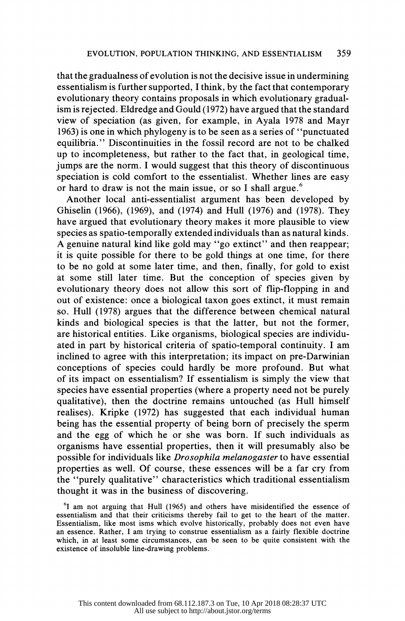that the gradualness of evolution is not the decisive issue in undermining essentialism is further supported, I think, by the fact that contemporary evolutionary theory contains proposals in which evolutionary gradual ism is rejected. Eldredge and Gould (1972) have argued that the standard view of speciation (as given, for example, in Ayala 1978 and Mayr 1963) is one in which phylogeny is to be seen as a series of "punctuated equilibria." Discontinuities in the fossil record are not to be chalked up to incompleteness, but rather to the fact that, in geological time, jumps are the norm. I would suggest that this theory of discontinuous speciation is cold comfort to the essentialist. Whether lines are easy or hard to draw is not the main issue, or so I shall argue.<sup>6</sup>

 Another local anti-essentialist argument has been developed by Ghiselin (1966), (1969), and (1974) and Hull (1976) and (1978). They have argued that evolutionary theory makes it more plausible to view species as spatio-temporally extended individuals than as natural kinds. A genuine natural kind like gold may "go extinct" and then reappear; it is quite possible for there to be gold things at one time, for there to be no gold at some later time, and then, finally, for gold to exist at some still later time. But the conception of species given by evolutionary theory does not allow this sort of flip-flopping in and out of existence: once a biological taxon goes extinct, it must remain so. Hull (1978) argues that the difference between chemical natural kinds and biological species is that the latter, but not the former, are historical entities. Like organisms, biological species are individu ated in part by historical criteria of spatio-temporal continuity. I am inclined to agree with this interpretation; its impact on pre-Darwinian conceptions of species could hardly be more profound. But what of its impact on essentialism? If essentialism is simply the view that species have essential properties (where a property need not be purely qualitative), then the doctrine remains untouched (as Hull himself realises). Kripke (1972) has suggested that each individual human being has the essential property of being born of precisely the sperm and the egg of which he or she was born. If such individuals as organisms have essential properties, then it will presumably also be possible for individuals like Drosophila melanogaster to have essential properties as well. Of course, these essences will be a far cry from the "purely qualitative" characteristics which traditional essentialism thought it was in the business of discovering.

<sup>&</sup>lt;sup>6</sup>I am not arguing that Hull (1965) and others have misidentified the essence of essentialism and that their criticisms thereby fail to get to the heart of the matter. Essentialism, like most isms which evolve historically, probably does not even have an essence. Rather, I am trying to construe essentialism as a fairly flexible doctrine which, in at least some circumstances, can be seen to be quite consistent with the existence of insoluble line-drawing problems.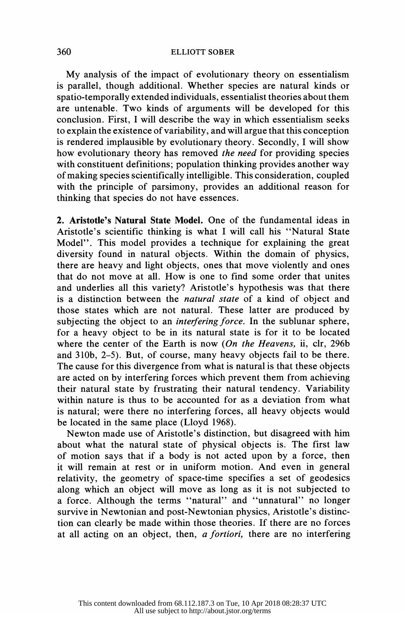My analysis of the impact of evolutionary theory on essentialism is parallel, though additional. Whether species are natural kinds or spatio-temporally extended individuals, essentialist theories about them are untenable. Two kinds of arguments will be developed for this conclusion. First, I will describe the way in which essentialism seeks to explain the existence of variability, and will argue that this conception is rendered implausible by evolutionary theory. Secondly, I will show how evolutionary theory has removed the need for providing species with constituent definitions; population thinking provides another way of making species scientifically intelligible. This consideration, coupled with the principle of parsimony, provides an additional reason for thinking that species do not have essences.

 2. Aristotle's Natural State Model. One of the fundamental ideas in Aristotle's scientific thinking is what I will call his "Natural State Model". This model provides a technique for explaining the great diversity found in natural objects. Within the domain of physics, there are heavy and light objects, ones that move violently and ones that do not move at all. How is one to find some order that unites and underlies all this variety? Aristotle's hypothesis was that there is a distinction between the natural state of a kind of object and those states which are not natural. These latter are produced by subjecting the object to an *interfering force*. In the sublunar sphere, for a heavy object to be in its natural state is for it to be located where the center of the Earth is now (On the Heavens, ii, clr, 296b) and 310b, 2-5). But, of course, many heavy objects fail to be there. The cause for this divergence from what is natural is that these objects are acted on by interfering forces which prevent them from achieving their natural state by frustrating their natural tendency. Variability within nature is thus to be accounted for as a deviation from what is natural; were there no interfering forces, all heavy objects would be located in the same place (Lloyd 1968).

 Newton made use of Aristotle's distinction, but disagreed with him about what the natural state of physical objects is. The first law of motion says that if a body is not acted upon by a force, then it will remain at rest or in uniform motion. And even in general relativity, the geometry of space-time specifies a set of geodesics along which an object will move as long as it is not subjected to a force. Although the terms "natural" and "unnatural" no longer survive in Newtonian and post-Newtonian physics, Aristotle's distinc tion can clearly be made within those theories. If there are no forces at all acting on an object, then, a fortiori, there are no interfering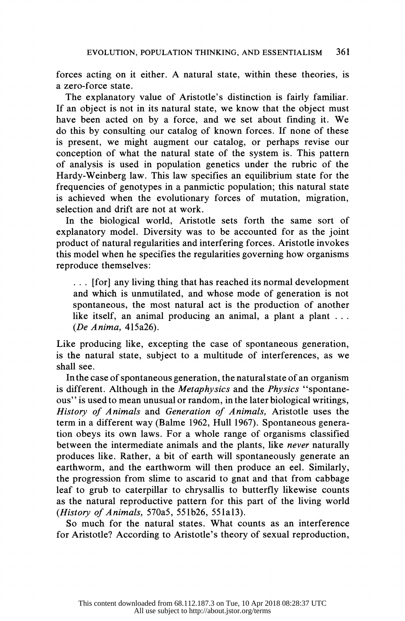forces acting on it either. A natural state, within these theories, is a zero-force state.

 The explanatory value of Aristotle's distinction is fairly familiar. If an object is not in its natural state, we know that the object must have been acted on by a force, and we set about finding it. We do this by consulting our catalog of known forces. If none of these is present, we might augment our catalog, or perhaps revise our conception of what the natural state of the system is. This pattern of analysis is used in population genetics under the rubric of the Hardy-Weinberg law. This law specifies an equilibrium state for the frequencies of genotypes in a panmictic population; this natural state is achieved when the evolutionary forces of mutation, migration, selection and drift are not at work.

 In the biological world, Aristotle sets forth the same sort of explanatory model. Diversity was to be accounted for as the joint product of natural regularities and interfering forces. Aristotle invokes this model when he specifies the regularities governing how organisms reproduce themselves:

 ... [for] any living thing that has reached its normal development and which is unmutilated, and whose mode of generation is not spontaneous, the most natural act is the production of another like itself, an animal producing an animal, a plant a plant  $\dots$ (De Anima, 415a26).

 Like producing like, excepting the case of spontaneous generation, is the natural state, subject to a multitude of interferences, as we shall see.

 In the case of spontaneous generation, the natural state of an organism is different. Although in the *Metaphysics* and the *Physics* "spontane ous" is used to mean unusual or random, in the later biological writings, History of Animals and Generation of Animals, Aristotle uses the term in a different way (Balme 1962, Hull 1967). Spontaneous genera tion obeys its own laws. For a whole range of organisms classified between the intermediate animals and the plants, like never naturally produces like. Rather, a bit of earth will spontaneously generate an earthworm, and the earthworm will then produce an eel. Similarly, the progression from slime to ascarid to gnat and that from cabbage leaf to grub to caterpillar to chrysallis to butterfly likewise counts as the natural reproductive pattern for this part of the living world (History of Animals, 570a5, 551b26, 551a13).

 So much for the natural states. What counts as an interference for Aristotle? According to Aristotle's theory of sexual reproduction,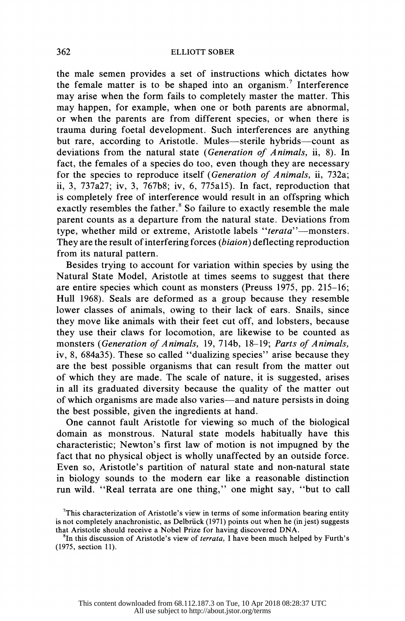the male semen provides a set of instructions which dictates how the female matter is to be shaped into an organism.<sup>7</sup> Interference may arise when the form fails to completely master the matter. This may happen, for example, when one or both parents are abnormal, or when the parents are from different species, or when there is trauma during foetal development. Such interferences are anything but rare, according to Aristotle. Mules-sterile hybrids-count as deviations from the natural state (Generation of Animals, ii, 8). In fact, the females of a species do too, even though they are necessary for the species to reproduce itself (Generation of Animals, ii, 732a; ii, 3, 737a27; iv, 3, 767b8; iv, 6, 775a15). In fact, reproduction that is completely free of interference would result in an offspring which exactly resembles the father.<sup>8</sup> So failure to exactly resemble the male parent counts as a departure from the natural state. Deviations from type, whether mild or extreme, Aristotle labels "terata"—monsters. They are the result of interfering forces (biaion) deflecting reproduction from its natural pattern.

 Besides trying to account for variation within species by using the Natural State Model, Aristotle at times seems to suggest that there are entire species which count as monsters (Preuss 1975, pp. 215-16; Hull 1968). Seals are deformed as a group because they resemble lower classes of animals, owing to their lack of ears. Snails, since they move like animals with their feet cut off, and lobsters, because they use their claws for locomotion, are likewise to be counted as monsters (Generation of Animals, 19, 714b, 18-19; Parts of Animals, iv, 8, 684a35). These so called "dualizing species" arise because they are the best possible organisms that can result from the matter out of which they are made. The scale of nature, it is suggested, arises in all its graduated diversity because the quality of the matter out of which organisms are made also varies—and nature persists in doing the best possible, given the ingredients at hand.

 One cannot fault Aristotle for viewing so much of the biological domain as monstrous. Natural state models habitually have this characteristic; Newton's first law of motion is not impugned by the fact that no physical object is wholly unaffected by an outside force. Even so, Aristotle's partition of natural state and non-natural state in biology sounds to the modern ear like a reasonable distinction run wild. "Real terrata are one thing," one might say, "but to call

 $T$ This characterization of Aristotle's view in terms of some information bearing entity is not completely anachronistic, as Delbriick (1971) points out when he (in jest) suggests that Aristotle should receive a Nobel Prize for having discovered DNA.

<sup>&</sup>lt;sup>8</sup>In this discussion of Aristotle's view of *terrata*, I have been much helped by Furth's (1975, section 11).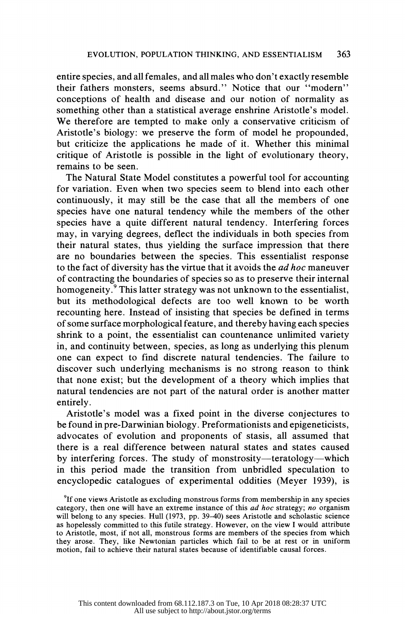entire species, and all females, and all males who don't exactly resemble their fathers monsters, seems absurd." Notice that our "modern" conceptions of health and disease and our notion of normality as something other than a statistical average enshrine Aristotle's model. We therefore are tempted to make only a conservative criticism of Aristotle's biology: we preserve the form of model he propounded, but criticize the applications he made of it. Whether this minimal critique of Aristotle is possible in the light of evolutionary theory, remains to be seen.

 The Natural State Model constitutes a powerful tool for accounting for variation. Even when two species seem to blend into each other continuously, it may still be the case that all the members of one species have one natural tendency while the members of the other species have a quite different natural tendency. Interfering forces may, in varying degrees, deflect the individuals in both species from their natural states, thus yielding the surface impression that there are no boundaries between the species. This essentialist response to the fact of diversity has the virtue that it avoids the *ad hoc* maneuver of contracting the boundaries of species so as to preserve their internal homogeneity.<sup>9</sup> This latter strategy was not unknown to the essentialist, but its methodological defects are too well known to be worth recounting here. Instead of insisting that species be defined in terms of some surface morphological feature, and thereby having each species shrink to a point, the essentialist can countenance unlimited variety in, and continuity between, species, as long as underlying this plenum one can expect to find discrete natural tendencies. The failure to discover such underlying mechanisms is no strong reason to think that none exist; but the development of a theory which implies that natural tendencies are not part of the natural order is another matter entirely.

 Aristotle's model was a fixed point in the diverse conjectures to be found in pre-Darwinian biology. Preformationists and epigeneticists, advocates of evolution and proponents of stasis, all assumed that there is a real difference between natural states and states caused by interfering forces. The study of monstrosity—teratology—which in this period made the transition from unbridled speculation to encyclopedic catalogues of experimental oddities (Meyer 1939), is

<sup>&</sup>lt;sup>9</sup>If one views Aristotle as excluding monstrous forms from membership in any species category, then one will have an extreme instance of this ad hoc strategy; no organism will belong to any species. Hull (1973, pp. 39-40) sees Aristotle and scholastic science as hopelessly committed to this futile strategy. However, on the view I would attribute to Aristotle, most, if not all, monstrous forms are members of the species from which they arose. They, like Newtonian particles which fail to be at rest or in uniform motion, fail to achieve their natural states because of identifiable causal forces.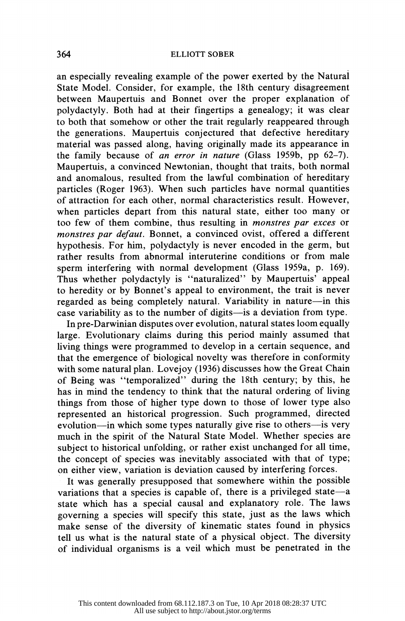an especially revealing example of the power exerted by the Natural State Model. Consider, for example, the 18th century disagreement between Maupertuis and Bonnet over the proper explanation of polydactyly. Both had at their fingertips a genealogy; it was clear to both that somehow or other the trait regularly reappeared through the generations. Maupertuis conjectured that defective hereditary material was passed along, having originally made its appearance in the family because of an error in nature (Glass 1959b, pp  $62-7$ ). Maupertuis, a convinced Newtonian, thought that traits, both normal and anomalous, resulted from the lawful combination of hereditary particles (Roger 1963). When such particles have normal quantities of attraction for each other, normal characteristics result. However, when particles depart from this natural state, either too many or too few of them combine, thus resulting in monstres par exces or monstres par defaut. Bonnet, a convinced ovist, offered a different hypothesis. For him, polydactyly is never encoded in the germ, but rather results from abnormal interuterine conditions or from male sperm interfering with normal development (Glass 1959a, p. 169). Thus whether polydactyly is "naturalized" by Maupertuis' appeal to heredity or by Bonnet's appeal to environment, the trait is never regarded as being completely natural. Variability in nature-in this case variability as to the number of digits-is a deviation from type.

 In pre-Darwinian disputes over evolution, natural states loom equally large. Evolutionary claims during this period mainly assumed that living things were programmed to develop in a certain sequence, and that the emergence of biological novelty was therefore in conformity with some natural plan. Lovejoy (1936) discusses how the Great Chain of Being was "temporalized" during the 18th century; by this, he has in mind the tendency to think that the natural ordering of living things from those of higher type down to those of lower type also represented an historical progression. Such programmed, directed evolution-in which some types naturally give rise to others-is very much in the spirit of the Natural State Model. Whether species are subject to historical unfolding, or rather exist unchanged for all time, the concept of species was inevitably associated with that of type; on either view, variation is deviation caused by interfering forces.

 It was generally presupposed that somewhere within the possible variations that a species is capable of, there is a privileged state-a state which has a special causal and explanatory role. The laws governing a species will specify this state, just as the laws which make sense of the diversity of kinematic states found in physics tell us what is the natural state of a physical object. The diversity of individual organisms is a veil which must be penetrated in the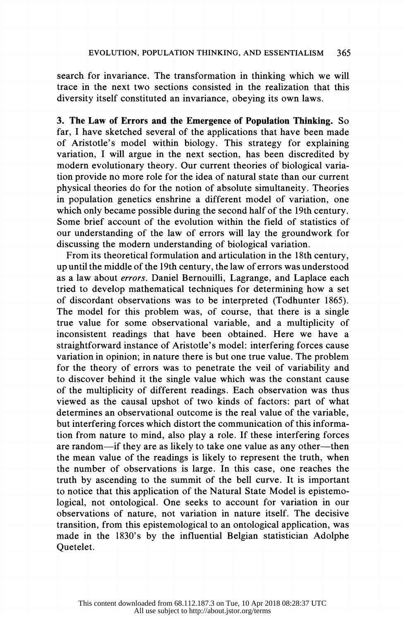search for invariance. The transformation in thinking which we will trace in the next two sections consisted in the realization that this diversity itself constituted an invariance, obeying its own laws.

 3. The Law of Errors and the Emergence of Population Thinking. So far, I have sketched several of the applications that have been made of Aristotle's model within biology. This strategy for explaining variation, I will argue in the next section, has been discredited by modern evolutionary theory. Our current theories of biological varia tion provide no more role for the idea of natural state than our current physical theories do for the notion of absolute simultaneity. Theories in population genetics enshrine a different model of variation, one which only became possible during the second half of the 19th century. Some brief account of the evolution within the field of statistics of our understanding of the law of errors will lay the groundwork for discussing the modern understanding of biological variation.

 From its theoretical formulation and articulation in the 18th century, up until the middle of the 19th century, the law of errors was understood as a law about errors. Daniel Bernouilli, Lagrange, and Laplace each tried to develop mathematical techniques for determining how a set of discordant observations was to be interpreted (Todhunter 1865). The model for this problem was, of course, that there is a single true value for some observational variable, and a multiplicity of inconsistent readings that have been obtained. Here we have a straightforward instance of Aristotle's model: interfering forces cause variation in opinion; in nature there is but one true value. The problem for the theory of errors was to penetrate the veil of variability and to discover behind it the single value which was the constant cause of the multiplicity of different readings. Each observation was thus viewed as the causal upshot of two kinds of factors: part of what determines an observational outcome is the real value of the variable, but interfering forces which distort the communication of this informa tion from nature to mind, also play a role. If these interfering forces are random—if they are as likely to take one value as any other—then the mean value of the readings is likely to represent the truth, when the number of observations is large. In this case, one reaches the truth by ascending to the summit of the bell curve. It is important to notice that this application of the Natural State Model is epistemo logical, not ontological. One seeks to account for variation in our observations of nature, not variation in nature itself. The decisive transition, from this epistemological to an ontological application, was made in the 1830's by the influential Belgian statistician Adolphe Quetelet.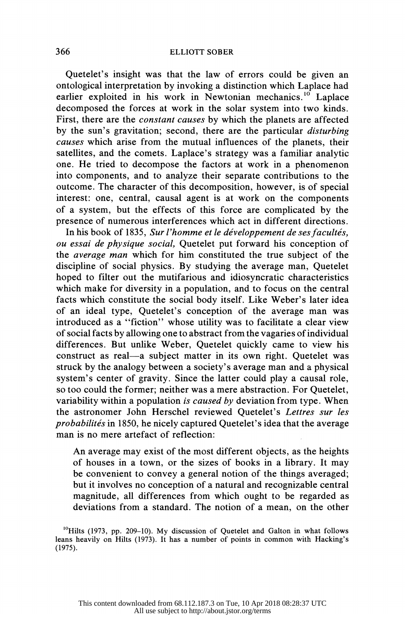Quetelet's insight was that the law of errors could be given an ontological interpretation by invoking a distinction which Laplace had earlier exploited in his work in Newtonian mechanics.<sup>10</sup> Laplace decomposed the forces at work in the solar system into two kinds. First, there are the constant causes by which the planets are affected by the sun's gravitation; second, there are the particular disturbing causes which arise from the mutual influences of the planets, their satellites, and the comets. Laplace's strategy was a familiar analytic one. He tried to decompose the factors at work in a phenomenon into components, and to analyze their separate contributions to the outcome. The character of this decomposition, however, is of special interest: one, central, causal agent is at work on the components of a system, but the effects of this force are complicated by the presence of numerous interferences which act in different directions.

In his book of 1835, Sur l'homme et le développement de ses facultés, ou essai de physique social, Quetelet put forward his conception of the average man which for him constituted the true subject of the discipline of social physics. By studying the average man, Quetelet hoped to filter out the mutifarious and idiosyncratic characteristics which make for diversity in a population, and to focus on the central facts which constitute the social body itself. Like Weber's later idea of an ideal type, Quetelet's conception of the average man was introduced as a "fiction" whose utility was to facilitate a clear view of social facts by allowing one to abstract from the vagaries of individual differences. But unlike Weber, Quetelet quickly came to view his construct as real-a subject matter in its own right. Quetelet was struck by the analogy between a society's average man and a physical system's center of gravity. Since the latter could play a causal role, so too could the former; neither was a mere abstraction. For Quetelet, variability within a population is caused by deviation from type. When the astronomer John Herschel reviewed Quetelet's Lettres sur les probabilités in 1850, he nicely captured Quetelet's idea that the average man is no mere artefact of reflection:

 An average may exist of the most different objects, as the heights of houses in a town, or the sizes of books in a library. It may be convenient to convey a general notion of the things averaged; but it involves no conception of a natural and recognizable central magnitude, all differences from which ought to be regarded as deviations from a standard. The notion of a mean, on the other

<sup>&</sup>lt;sup>10</sup>Hilts (1973, pp. 209-10). My discussion of Quetelet and Galton in what follows leans heavily on Hilts (1973). It has a number of points in common with Hacking's (1975).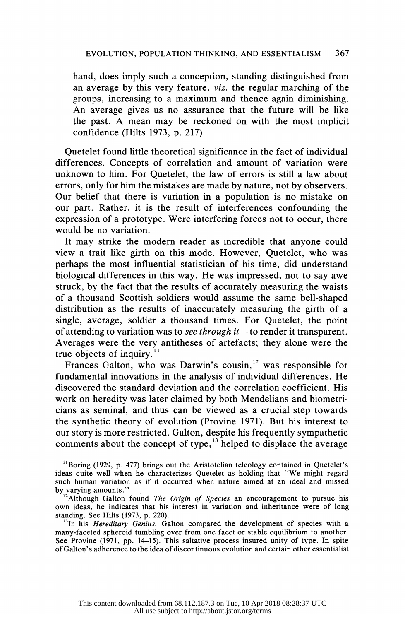hand, does imply such a conception, standing distinguished from an average by this very feature, viz. the regular marching of the groups, increasing to a maximum and thence again diminishing. An average gives us no assurance that the future will be like the past. A mean may be reckoned on with the most implicit confidence (Hilts 1973, p. 217).

 Quetelet found little theoretical significance in the fact of individual differences. Concepts of correlation and amount of variation were unknown to him. For Quetelet, the law of errors is still a law about errors, only for him the mistakes are made by nature, not by observers. Our belief that there is variation in a population is no mistake on our part. Rather, it is the result of interferences confounding the expression of a prototype. Were interfering forces not to occur, there would be no variation.

 It may strike the modern reader as incredible that anyone could view a trait like girth on this mode. However, Quetelet, who was perhaps the most influential statistician of his time, did understand biological differences in this way. He was impressed, not to say awe struck, by the fact that the results of accurately measuring the waists of a thousand Scottish soldiers would assume the same bell-shaped distribution as the results of inaccurately measuring the girth of a single, average, soldier a thousand times. For Quetelet, the point of attending to variation was to see through it-to render it transparent. Averages were the very antitheses of artefacts; they alone were the true objects of inquiry. $\frac{11}{11}$ 

 Frances Galton, who was Darwin's cousin,'2 was responsible for fundamental innovations in the analysis of individual differences. He discovered the standard deviation and the correlation coefficient. His work on heredity was later claimed by both Mendelians and biometri cians as seminal, and thus can be viewed as a crucial step towards the synthetic theory of evolution (Provine 1971). But his interest to our story is more restricted. Galton, despite his frequently sympathetic comments about the concept of type, $13$  helped to displace the average

 <sup>&</sup>quot;Boring (1929, p. 477) brings out the Aristotelian teleology contained in Quetelet's ideas quite well when he characterizes Quetelet as holding that "We might regard such human variation as if it occurred when nature aimed at an ideal and missed by varying amounts."

<sup>&</sup>lt;sup>12</sup>Although Galton found *The Origin of Species* an encouragement to pursue his own ideas, he indicates that his interest in variation and inheritance were of long standing. See Hilts (1973, p. 220).

<sup>&</sup>lt;sup>13</sup>In his *Hereditary Genius*, Galton compared the development of species with a many-faceted spheroid tumbling over from one facet or stable equilibrium to another. See Provine (1971, pp. 14-15). This saltative process insured unity of type. In spite of Galton's adherence to the idea of discontinuous evolution and certain other essentialist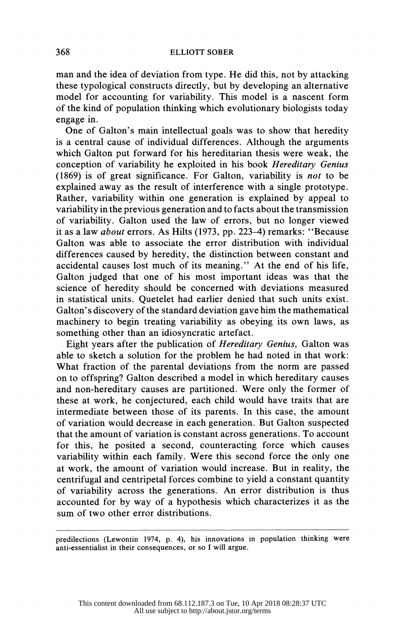man and the idea of deviation from type. He did this, not by attacking these typological constructs directly, but by developing an alternative model for accounting for variability. This model is a nascent form of the kind of population thinking which evolutionary biologists today engage in.

 One of Galton's main intellectual goals was to show that heredity is a central cause of individual differences. Although the arguments which Galton put forward for his hereditarian thesis were weak, the conception of variability he exploited in his book Hereditary Genius (1869) is of great significance. For Galton, variability is not to be explained away as the result of interference with a single prototype. Rather, variability within one generation is explained by appeal to variability in the previous generation and to facts about the transmission of variability. Galton used the law of errors, but no longer viewed it as a law about errors. As Hilts (1973, pp. 223-4) remarks: "Because Galton was able to associate the error distribution with individual differences caused by heredity, the distinction between constant and accidental causes lost much of its meaning." At the end of his life, Galton judged that one of his most important ideas was that the science of heredity should be concerned with deviations measured in statistical units. Quetelet had earlier denied that such units exist. Galton's discovery of the standard deviation gave him the mathematical machinery to begin treating variability as obeying its own laws, as something other than an idiosyncratic artefact.

 Eight years after the publication of Hereditary Genius, Galton was able to sketch a solution for the problem he had noted in that work: What fraction of the parental deviations from the norm are passed on to offspring? Galton described a model in which hereditary causes and non-hereditary causes are partitioned. Were only the former of these at work, he conjectured, each child would have traits that are intermediate between those of its parents. In this case, the amount of variation would decrease in each generation. But Galton suspected that the amount of variation is constant across generations. To account for this, he posited a second, counteracting force which causes variability within each family. Were this second force the only one at work, the amount of variation would increase. But in reality, the centrifugal and centripetal forces combine to yield a constant quantity of variability across the generations. An error distribution is thus accounted for by way of a hypothesis which characterizes it as the sum of two other error distributions.

predilections (Lewontin 1974, p. 4), his innovations in population thinking were anti-essentialist in their consequences, or so I will argue.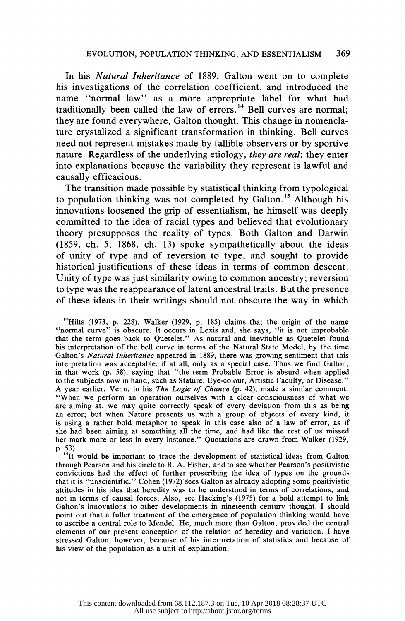In his Natural Inheritance of 1889, Galton went on to complete his investigations of the correlation coefficient, and introduced the name "normal law" as a more appropriate label for what had traditionally been called the law of errors.<sup>14</sup> Bell curves are normal; they are found everywhere, Galton thought. This change in nomencla ture crystalized a significant transformation in thinking. Bell curves need not represent mistakes made by fallible observers or by sportive nature. Regardless of the underlying etiology, they are real; they enter into explanations because the variability they represent is lawful and causally efficacious.

 The transition made possible by statistical thinking from typological to population thinking was not completed by Galton.'5 Although his innovations loosened the grip of essentialism, he himself was deeply committed to the idea of racial types and believed that evolutionary theory presupposes the reality of types. Both Galton and Darwin (1859, ch. 5; 1868, ch. 13) spoke sympathetically about the ideas of unity of type and of reversion to type, and sought to provide historical justifications of these ideas in terms of common descent. Unity of type was just similarity owing to common ancestry; reversion to type was the reappearance of latent ancestral traits. But the presence of these ideas in their writings should not obscure the way in which

 $^{14}$ Hilts (1973, p. 228). Walker (1929, p. 185) claims that the origin of the name "normal curve" is obscure. It occurs in Lexis and, she says, "it is not improbable that the term goes back to Quetelet." As natural and inevitable as Quetelet found his interpretation of the bell curve in terms of the Natural State Model, by the time Galton's Natural Inheritance appeared in 1889, there was growing sentiment that this interpretation was acceptable, if at all, only as a special case. Thus we find Galton, in that work (p. 58), saying that "the term Probable Error is absurd when applied to the subjects now in hand, such as Stature, Eye-colour, Artistic Faculty, or Disease." A year earlier, Venn, in his The Logic of Chance (p. 42), made a similar comment: "When we perform an operation ourselves with a clear consciousness of what we are aiming at, we may quite correctly speak of every deviation from this as being an error; but when Nature presents us with a group of objects of every kind, it is using a rather bold metaphor to speak in this case also of a law of error, as if she had been aiming at something all the time, and had like the rest of us missed her mark more or less in every instance." Quotations are drawn from Walker (1929, p. 53).

 $<sup>15</sup>$ It would be important to trace the development of statistical ideas from Galton</sup> through Pearson and his circle to R. A. Fisher, and to see whether Pearson's positivistic convictions had the effect of further proscribing the idea of types on the grounds that it is "unscientific." Cohen (1972)' sees Galton as already adopting some positivistic attitudes in his idea that heredity was to be understood in terms of correlations, and not in terms of causal forces. Also, see Hacking's (1975) for a bold attempt to link Galton's innovations to other developments in nineteenth century thought. I should point out that a fuller treatment of the emergence of population thinking would have to ascribe a central role to Mendel. He, much more than Galton, provided the central elements of our present conception of the relation of heredity and variation. I have stressed Galton, however, because of his interpretation of statistics and because of his view of the population as a unit of explanation.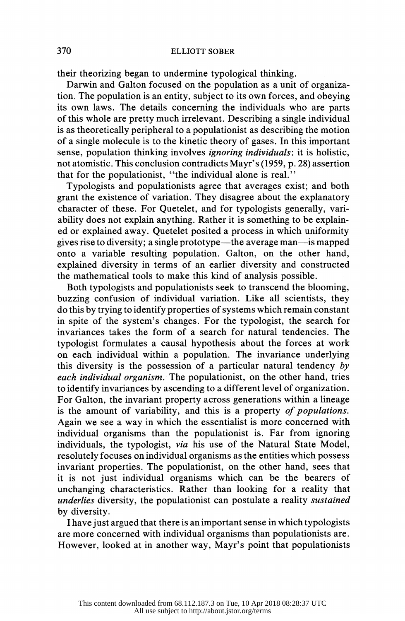their theorizing began to undermine typological thinking.

 Darwin and Galton focused on the population as a unit of organiza tion. The population is an entity, subject to its own forces, and obeying its own laws. The details concerning the individuals who are parts of this whole are pretty much irrelevant. Describing a single individual is as theoretically peripheral to a populationist as describing the motion of a single molecule is to the kinetic theory of gases. In this important sense, population thinking involves ignoring individuals: it is holistic, not atomistic. This conclusion contradicts Mayr's (1959, p. 28) assertion that for the populationist, "the individual alone is real."

 Typologists and populationists agree that averages exist; and both grant the existence of variation. They disagree about the explanatory character of these. For Quetelet, and for typologists generally, vari ability does not explain anything. Rather it is something to be explain ed or explained away. Quetelet posited a process in which uniformity gives rise to diversity; a single prototype-the average man-is mapped onto a variable resulting population. Galton, on the other hand, explained diversity in terms of an earlier diversity and constructed the mathematical tools to make this kind of analysis possible.

 Both typologists and populationists seek to transcend the blooming, buzzing confusion of individual variation. Like all scientists, they do this by trying to identify properties of systems which remain constant in spite of the system's changes. For the typologist, the search for invariances takes the form of a search for natural tendencies. The typologist formulates a causal hypothesis about the forces at work on each individual within a population. The invariance underlying this diversity is the possession of a particular natural tendency  $by$  each individual organism. The populationist, on the other hand, tries to identify invariances by ascending to a different level of organization. For Galton, the invariant property across generations within a lineage is the amount of variability, and this is a property of populations. Again we see a way in which the essentialist is more concerned with individual organisms than the populationist is. Far from ignoring individuals, the typologist, via his use of the Natural State Model, resolutely focuses on individual organisms as the entities which possess invariant properties. The populationist, on the other hand, sees that it is not just individual organisms which can be the bearers of unchanging characteristics. Rather than looking for a reality that underlies diversity, the populationist can postulate a reality sustained by diversity.

 I have just argued that there is an important sense in which typologists are more concerned with individual organisms than populationists are. However, looked at in another way, Mayr's point that populationists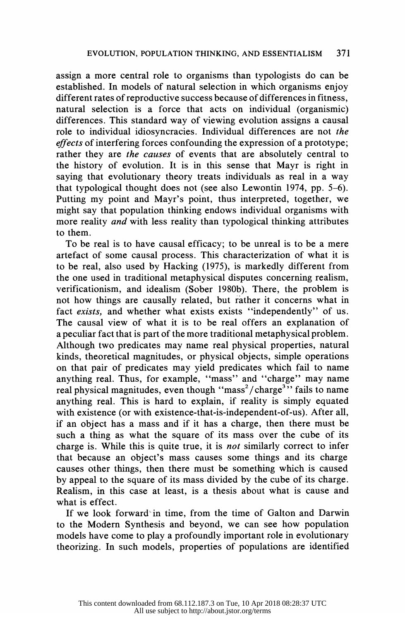assign a more central role to organisms than typologists do can be established. In models of natural selection in which organisms enjoy different rates of reproductive success because of differences in fitness, natural selection is a force that acts on individual (organismic) differences. This standard way of viewing evolution assigns a causal role to individual idiosyncracies. Individual differences are not the effects of interfering forces confounding the expression of a prototype; rather they are the causes of events that are absolutely central to the history of evolution. It is in this sense that Mayr is right in saying that evolutionary theory treats individuals as real in a way that typological thought does not (see also Lewontin 1974, pp. 5-6). Putting my point and Mayr's point, thus interpreted, together, we might say that population thinking endows individual organisms with more reality *and* with less reality than typological thinking attributes to them.

 To be real is to have causal efficacy; to be unreal is to be a mere artefact of some causal process. This characterization of what it is to be real, also used by Hacking (1975), is markedly different from the one used in traditional metaphysical disputes concerning realism, verificationism, and idealism (Sober 1980b). There, the problem is not how things are causally related, but rather it concerns what in fact exists, and whether what exists exists "independently" of us. The causal view of what it is to be real offers an explanation of a peculiar fact that is part of the more traditional metaphysical problem. Although two predicates may name real physical properties, natural kinds, theoretical magnitudes, or physical objects, simple operations on that pair of predicates may yield predicates which fail to name anything real. Thus, for example, "mass" and "charge" may name real physical magnitudes, even though "mass<sup>2</sup>/charge<sup>3"</sup> fails to name anything real. This is hard to explain, if reality is simply equated with existence (or with existence-that-is-independent-of-us). After all, if an object has a mass and if it has a charge, then there must be such a thing as what the square of its mass over the cube of its charge is. While this is quite true, it is not similarly correct to infer that because an object's mass causes some things and its charge causes other things, then there must be something which is caused by appeal to the square of its mass divided by the cube of its charge. Realism, in this case at least, is a thesis about what is cause and what is effect.

If we look forward in time, from the time of Galton and Darwin to the Modern Synthesis and beyond, we can see how population models have come to play a profoundly important role in evolutionary theorizing. In such models, properties of populations are identified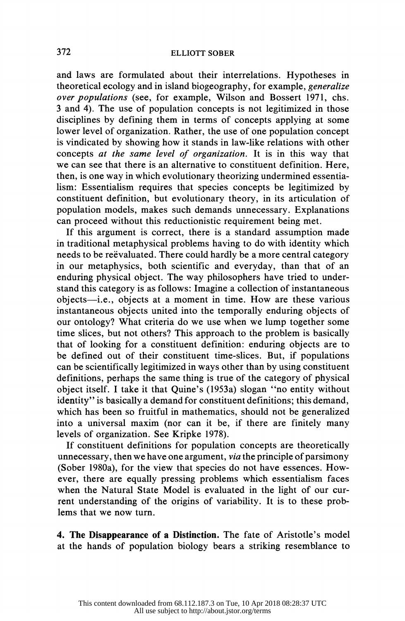and laws are formulated about their interrelations. Hypotheses in theoretical ecology and in island biogeography, for example, generalize over populations (see, for example, Wilson and Bossert 1971, chs. 3 and 4). The use of population concepts is not legitimized in those disciplines by defining them in terms of concepts applying at some lower level of organization. Rather, the use of one population concept is vindicated by showing how it stands in law-like relations with other concepts at the same level of organization. It is in this way that we can see that there is an alternative to constituent definition. Here, then, is one way in which evolutionary theorizing undermined essentia lism: Essentialism requires that species concepts be legitimized by constituent definition, but evolutionary theory, in its articulation of population models, makes such demands unnecessary. Explanations can proceed without this reductionistic requirement being met.

 If this argument is correct, there is a standard assumption made in traditional metaphysical problems having to do with identity which needs to be reevaluated. There could hardly be a more central category in our metaphysics, both scientific and everyday, than that of an enduring physical object. The way philosophers have tried to under stand this category is as follows: Imagine a collection of instantaneous objects-i.e., objects at a moment in time. How are these various instantaneous objects united into the temporally enduring objects of our ontology? What criteria do we use when we lump together some time slices, but not others? This approach to the problem is basically that of looking for a constituent definition: enduring objects are to be defined out of their constituent time-slices. But, if populations can be scientifically legitimized in ways other than by using constituent definitions, perhaps the same thing is true of the category of physical object itself. I take it that Quine's (1953a) slogan "no entity without identity" is basically a demand for constituent definitions; this demand, which has been so fruitful in mathematics, should not be generalized into a universal maxim (nor can it be, if there are finitely many levels of organization. See Kripke 1978).

 If constituent definitions for population concepts are theoretically unnecessary, then we have one argument, via the principle of parsimony (Sober 1980a), for the view that species do not have essences. How ever, there are equally pressing problems which essentialism faces when the Natural State Model is evaluated in the light of our cur rent understanding of the origins of variability. It is to these prob lems that we now turn.

 4. The Disappearance of a Distinction. The fate of Aristotle's model at the hands of population biology bears a striking resemblance to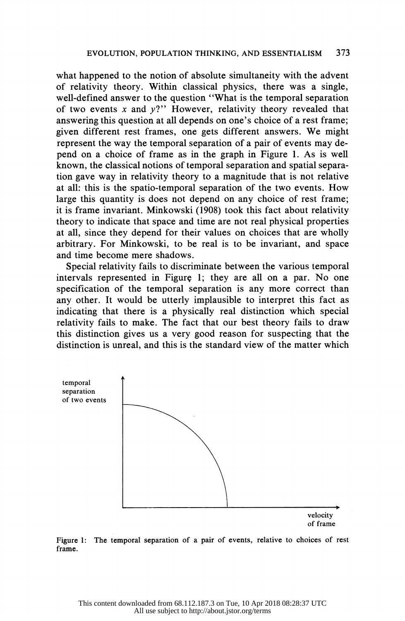what happened to the notion of absolute simultaneity with the advent of relativity theory. Within classical physics, there was a single, well-defined answer to the question "What is the temporal separation of two events x and  $y$ ?" However, relativity theory revealed that answering this question at all depends on one's choice of a rest frame; given different rest frames, one gets different answers. We might represent the way the temporal separation of a pair of events may de pend on a choice of frame as in the graph in Figure 1. As is well known, the classical notions of temporal separation and spatial separa tion gave way in relativity theory to a magnitude that is not relative at all: this is the spatio-temporal separation of the two events. How large this quantity is does not depend on any choice of rest frame; it is frame invariant. Minkowski (1908) took this fact about relativity theory to indicate that space and time are not real physical properties at all, since they depend for their values on choices that are wholly arbitrary. For Minkowski, to be real is to be invariant, and space and time become mere shadows.

 Special relativity fails to discriminate between the various temporal intervals represented in Figure 1; they are all on a par. No one specification of the temporal separation is any more correct than any other. It would be utterly implausible to interpret this fact as indicating that there is a physically real distinction which special relativity fails to make. The fact that our best theory fails to draw this distinction gives us a very good reason for suspecting that the distinction is unreal, and this is the standard view of the matter which



 velocity of frame

 Figure 1: The temporal separation of a pair of events, relative to choices of rest frame.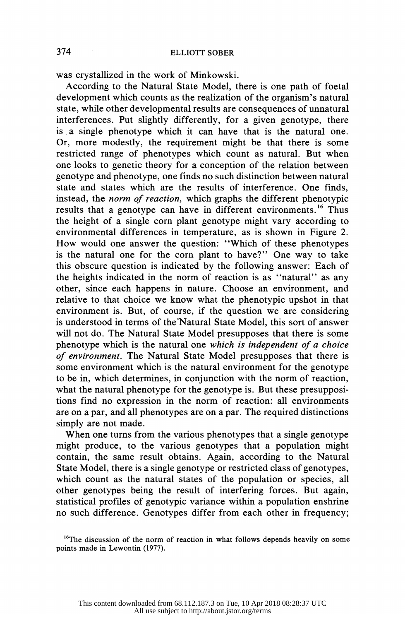was crystallized in the work of Minkowski.

 According to the Natural State Model, there is one path of foetal development which counts as the realization of the organism's natural state, while other developmental results are consequences of unnatural interferences. Put slightly differently, for a given genotype, there is a single phenotype which it can have that is the natural one. Or, more modestly, the requirement might be that there is some restricted range of phenotypes which count as natural. But when one looks to genetic theory for a conception of the relation between genotype and phenotype, one finds no such distinction between natural state and states which are the results of interference. One finds, instead, the norm of reaction, which graphs the different phenotypic results that a genotype can have in different environments.'6 Thus the height of a single corn plant genotype might vary according to environmental differences in temperature, as is shown in Figure 2. How would one answer the question: "Which of these phenotypes is the natural one for the corn plant to have?" One way to take this obscure question is indicated by the following answer: Each of the heights indicated in the norm of reaction is as "natural" as any other, since each happens in nature. Choose an environment, and relative to that choice we know what the phenotypic upshot in that environment is. But, of course, if the question we are considering is understood in terms of the'Natural State Model, this sort of answer will not do. The Natural State Model presupposes that there is some phenotype which is the natural one which is independent of a choice of environment. The Natural State Model presupposes that there is some environment which is the natural environment for the genotype to be in, which determines, in conjunction with the norm of reaction, what the natural phenotype for the genotype is. But these presupposi tions find no expression in the norm of reaction: all environments are on a par, and all phenotypes are on a par. The required distinctions simply are not made.

 When one turns from the various phenotypes that a single genotype might produce, to the various genotypes that a population might contain, the same result obtains. Again, according to the Natural State Model, there is a single genotype or restricted class of genotypes, which count as the natural states of the population or species, all other genotypes being the result of interfering forces. But again, statistical profiles of genotypic variance within a population enshrine no such difference. Genotypes differ from each other in frequency;

<sup>&</sup>lt;sup>16</sup>The discussion of the norm of reaction in what follows depends heavily on some points made in Lewontin (1977).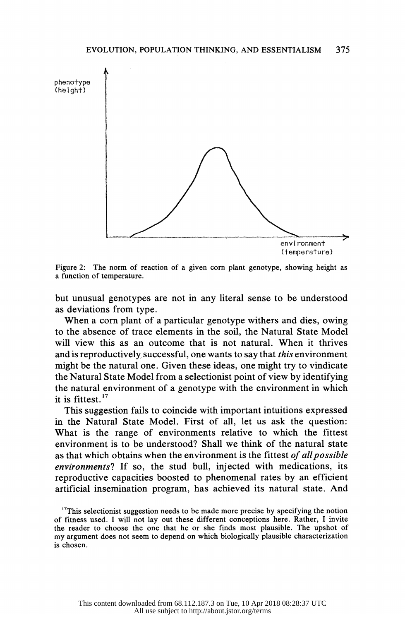

 Figure 2: The norm of reaction of a given corn plant genotype, showing height as a function of temperature.

 but unusual genotypes are not in any literal sense to be understood as deviations from type.

 When a corn plant of a particular genotype withers and dies, owing to the absence of trace elements in the soil, the Natural State Model will view this as an outcome that is not natural. When it thrives and is reproductively successful, one wants to say that this environment might be the natural one. Given these ideas, one might try to vindicate the Natural State Model from a selectionist point of view by identifying the natural environment of a genotype with the environment in which it is fittest.'7

 This suggestion fails to coincide with important intuitions expressed in the Natural State Model. First of all, let us ask the question: What is the range of environments relative to which the fittest environment is to be understood? Shall we think of the natural state as that which obtains when the environment is the fittest of all possible environments? If so, the stud bull, injected with medications, its reproductive capacities boosted to phenomenal rates by an efficient artificial insemination program, has achieved its natural state. And

 $17$ This selectionist suggestion needs to be made more precise by specifying the notion of fitness used. I will not lay out these different conceptions here. Rather, I invite the reader to choose the one that he or she finds most plausible. The upshot of my argument does not seem to depend on which biologically plausible characterization is chosen.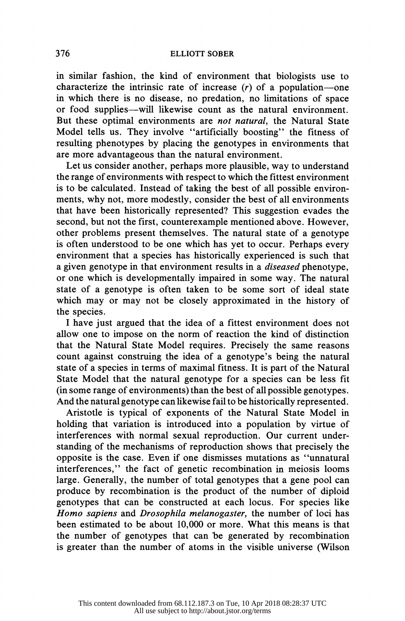## ELLIOTT SOBER

 in similar fashion, the kind of environment that biologists use to characterize the intrinsic rate of increase  $(r)$  of a population-one in which there is no disease, no predation, no limitations of space or food supplies-will likewise count as the natural environment. But these optimal environments are not natural, the Natural State Model tells us. They involve "artificially boosting" the fitness of resulting phenotypes by placing the genotypes in environments that are more advantageous than the natural environment.

 Let us consider another, perhaps more plausible, way to understand the range of environments with respect to which the fittest environment is to be calculated. Instead of taking the best of all possible environ ments, why not, more modestly, consider the best of all environments that have been historically represented? This suggestion evades the second, but not the first, counterexample mentioned above. However, other problems present themselves. The natural state of a genotype is often understood to be one which has yet to occur. Perhaps every environment that a species has historically experienced is such that a given genotype in that environment results in a diseased phenotype, or one which is developmentally impaired in some way. The natural state of a genotype is often taken to be some sort of ideal state which may or may not be closely approximated in the history of the species.

 I have just argued that the idea of a fittest environment does not allow one to impose on the norm of reaction the kind of distinction that the Natural State Model requires. Precisely the same reasons count against construing the idea of a genotype's being the natural state of a species in terms of maximal fitness. It is part of the Natural State Model that the natural genotype for a species can be less fit (in some range of environments) than the best of all possible genotypes. And the natural genotype can likewise fail to be historically represented.

 Aristotle is typical of exponents of the Natural State Model in holding that variation is introduced into a population by virtue of interferences with normal sexual reproduction. Our current under standing of the mechanisms of reproduction shows that precisely the opposite is the case. Even if one dismisses mutations as "unnatural interferences," the fact of genetic recombination in meiosis looms large. Generally, the number of total genotypes that a gene pool can produce by recombination is the product of the number of diploid genotypes that can be constructed at each locus. For species like Homo sapiens and Drosophila melanogaster, the number of loci has been estimated to be about 10,000 or more. What this means is that the number of genotypes that can be generated by recombination is greater than the number of atoms in the visible universe (Wilson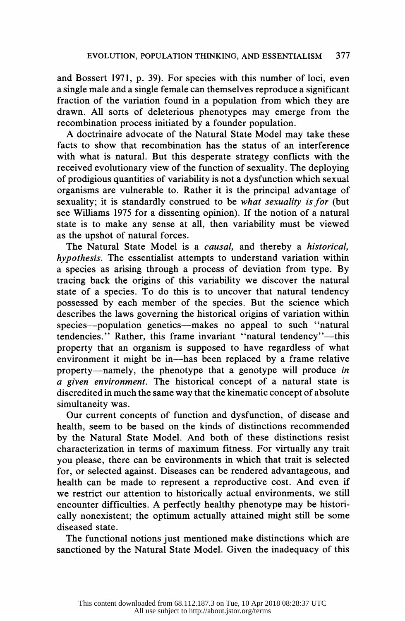and Bossert 1971, p. 39). For species with this number of loci, even a single male and a single female can themselves reproduce a significant fraction of the variation found in a population from which they are drawn. All sorts of deleterious phenotypes may emerge from the recombination process initiated by a founder population.

 A doctrinaire advocate of the Natural State Model may take these facts to show that recombination has the status of an interference with what is natural. But this desperate strategy conflicts with the received evolutionary view of the function of sexuality. The deploying of prodigious quantities of variability is not a dysfunction which sexual organisms are vulnerable to. Rather it is the principal advantage of sexuality; it is standardly construed to be what sexuality is for (but see Williams 1975 for a dissenting opinion). If the notion of a natural state is to make any sense at all, then variability must be viewed as the upshot of natural forces.

The Natural State Model is a *causal*, and thereby a *historical*, hypothesis. The essentialist attempts to understand variation within a species as arising through a process of deviation from type. By tracing back the origins of this variability we discover the natural state of a species. To do this is to uncover that natural tendency possessed by each member of the species. But the science which describes the laws governing the historical origins of variation within species--population genetics--makes no appeal to such "natural" tendencies." Rather, this frame invariant "natural tendency"-this property that an organism is supposed to have regardless of what environment it might be in—has been replaced by a frame relative property-namely, the phenotype that a genotype will produce in a given environment. The historical concept of a natural state is discredited in much the same way that the kinematic concept of absolute simultaneity was.

 Our current concepts of function and dysfunction, of disease and health, seem to be based on the kinds of distinctions recommended by the Natural State Model. And both of these distinctions resist characterization in terms of maximum fitness. For virtually any trait you please, there can be environments in which that trait is selected for, or selected against. Diseases can be rendered advantageous, and health can be made to represent a reproductive cost. And even if we restrict our attention to historically actual environments, we still encounter difficulties. A perfectly healthy phenotype may be histori cally nonexistent; the optimum actually attained might still be some diseased state.

 The functional notions just mentioned make distinctions which are sanctioned by the Natural State Model. Given the inadequacy of this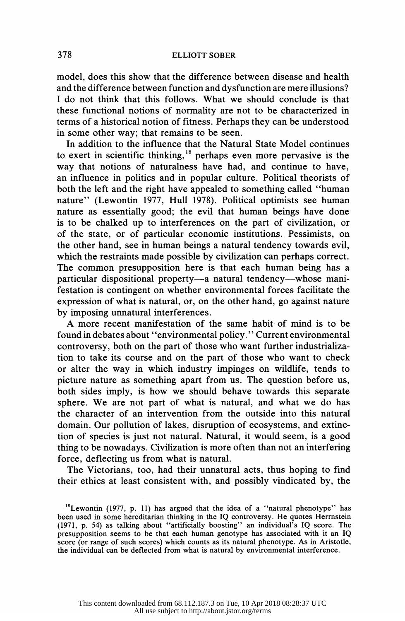## ELLIOTT SOBER

 model, does this show that the difference between disease and health and the difference between function and dysfunction are mere illusions? I do not think that this follows. What we should conclude is that these functional notions of normality are not to be characterized in terms of a historical notion of fitness. Perhaps they can be understood in some other way; that remains to be seen.

 In addition to the influence that the Natural State Model continues to exert in scientific thinking,'8 perhaps even more pervasive is the way that notions of naturalness have had, and continue to have, an influence in politics and in popular culture. Political theorists of both the left and the right have appealed to something called "human nature" (Lewontin 1977, Hull 1978). Political optimists see human nature as essentially good; the evil that human beings have done is to be chalked up to interferences on the part of civilization, or of the state, or of particular economic institutions. Pessimists, on the other hand, see in human beings a natural tendency towards evil, which the restraints made possible by civilization can perhaps correct. The common presupposition here is that each human being has a particular dispositional property-a natural tendency-whose mani festation is contingent on whether environmental forces facilitate the expression of what is natural, or, on the other hand, go against nature by imposing unnatural interferences.

 A more recent manifestation of the same habit of mind is to be found in debates about "environmental policy. " Current environmental controversy, both on the part of those who want further industrializa tion to take its course and on the part of those who want to check or alter the way in which industry impinges on wildlife, tends to picture nature as something apart from us. The question before us, both sides imply, is how we should behave towards this separate sphere. We are not part of what is natural, and what we do has the character of an intervention from the outside into this natural domain. Our pollution of lakes, disruption of ecosystems, and extinc tion of species is just not natural. Natural, it would seem, is a good thing to be nowadays. Civilization is more often than not an interfering force, deflecting us from what is natural.

 The Victorians, too, had their unnatural acts, thus hoping to find their ethics at least consistent with, and possibly vindicated by, the

<sup>&</sup>lt;sup>18</sup>Lewontin (1977, p. 11) has argued that the idea of a "natural phenotype" has been used in some hereditarian thinking in the IQ controversy. He quotes Herrnstein (1971, p. 54) as talking about "artificially boosting" an individual's IQ score. The presupposition seems to be that each human genotype has associated with it an IQ score (or range of such scores) which counts as its natural phenotype. As in Aristotle, the individual can be deflected from what is natural by environmental interference.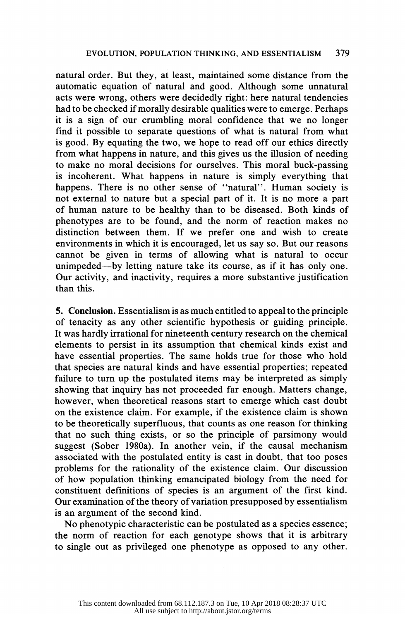natural order. But they, at least, maintained some distance from the automatic equation of natural and good. Although some unnatural acts were wrong, others were decidedly right: here natural tendencies had to be checked if morally desirable qualities were to emerge. Perhaps it is a sign of our crumbling moral confidence that we no longer find it possible to separate questions of what is natural from what is good. By equating the two, we hope to read off our ethics directly from what happens in nature, and this gives us the illusion of needing to make no moral decisions for ourselves. This moral buck-passing is incoherent. What happens in nature is simply everything that happens. There is no other sense of "natural". Human society is not external to nature but a special part of it. It is no more a part of human nature to be healthy than to be diseased. Both kinds of phenotypes are to be found, and the norm of reaction makes no distinction between them. If we prefer one and wish to create environments in which it is encouraged, let us say so. But our reasons cannot be given in terms of allowing what is natural to occur unimpeded-by letting nature take its course, as if it has only one. Our activity, and inactivity, requires a more substantive justification than this.

 5. Conclusion. Essentialism is as much entitled to appeal to the principle of tenacity as any other scientific hypothesis or guiding principle. It was hardly irrational for nineteenth century research on the chemical elements to persist in its assumption that chemical kinds exist and have essential properties. The same holds true for those who hold that species are natural kinds and have essential properties; repeated failure to turn up the postulated items may be interpreted as simply showing that inquiry has not proceeded far enough. Matters change, however, when theoretical reasons start to emerge which cast doubt on the existence claim. For example, if the existence claim is shown to be theoretically superfluous, that counts as one reason for thinking that no such thing exists, or so the principle of parsimony would suggest (Sober 1980a). In another vein, if the causal mechanism associated with the postulated entity is cast in doubt, that too poses problems for the rationality of the existence claim. Our discussion of how population thinking emancipated biology from the need for constituent definitions of species is an argument of the first kind. Our examination of the theory of variation presupposed by essentialism is an argument of the second kind.

 No phenotypic characteristic can be postulated as a species essence; the norm of reaction for each genotype shows that it is arbitrary to single out as privileged one phenotype as opposed to any other.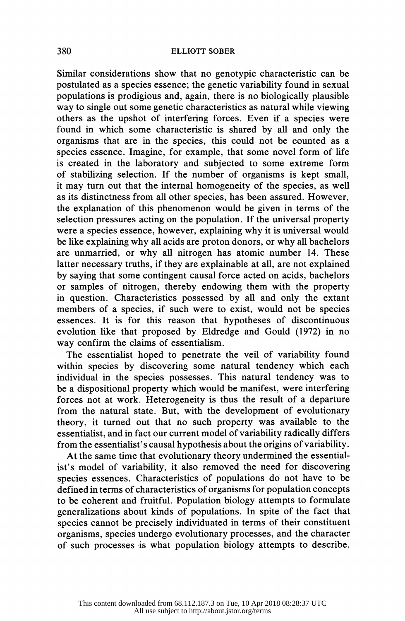#### ELLIOTT SOBER

 Similar considerations show that no genotypic characteristic can be postulated as a species essence; the genetic variability found in sexual populations is prodigious and, again, there is no biologically plausible way to single out some genetic characteristics as natural while viewing others as the upshot of interfering forces. Even if a species were found in which some characteristic is shared by all and only the organisms that are in the species, this could not be counted as a species essence. Imagine, for example, that some novel form of life is created in the laboratory and subjected to some extreme form of stabilizing selection. If the number of organisms is kept small, it may turn out that the internal homogeneity of the species, as well as its distinctness from all other species, has been assured. However, the explanation of this phenomenon would be given in terms of the selection pressures acting on the population. If the universal property were a species essence, however, explaining why it is universal would be like explaining why all acids are proton donors, or why all bachelors are unmarried, or why all nitrogen has atomic number 14. These latter necessary truths, if they are explainable at all, are not explained by saying that some contingent causal force acted on acids, bachelors or samples of nitrogen, thereby endowing them with the property in question. Characteristics possessed by all and only the extant members of a species, if such were to exist, would not be species essences. It is for this reason that hypotheses of discontinuous evolution like that proposed by Eldredge and Gould (1972) in no way confirm the claims of essentialism.

 The essentialist hoped to penetrate the veil of variability found within species by discovering some natural tendency which each individual in the species possesses. This natural tendency was to be a dispositional property which would be manifest, were interfering forces not at work. Heterogeneity is thus the result of a departure from the natural state. But, with the development of evolutionary theory, it turned out that no such property was available to the essentialist, and in fact our current model of variability radically differs from the essentialist's causal hypothesis about the origins of variability.

 At the same time that evolutionary theory undermined the essential ist's model of variability, it also removed the need for discovering species essences. Characteristics of populations do not have to be defined in terms of characteristics of organisms for population concepts to be coherent and fruitful. Population biology attempts to formulate generalizations about kinds of populations. In spite of the fact that species cannot be precisely individuated in terms of their constituent organisms, species undergo evolutionary processes, and the character of such processes is what population biology attempts to describe.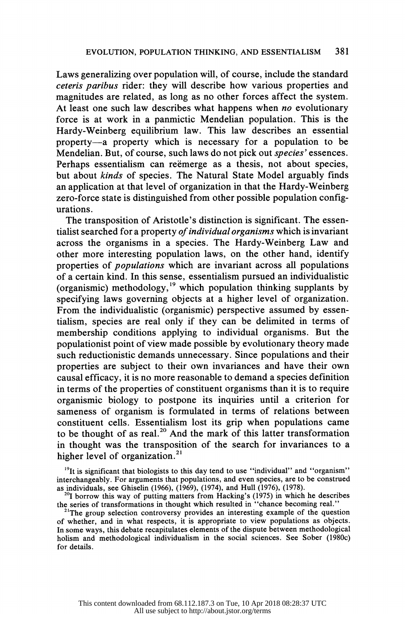Laws generalizing over population will, of course, include the standard ceteris paribus rider: they will describe how various properties and magnitudes are related, as long as no other forces affect the system. At least one such law describes what happens when no evolutionary force is at work in a panmictic Mendelian population. This is the Hardy-Weinberg equilibrium law. This law describes an essential property-a property which is necessary for a population to be Mendelian. But, of course, such laws do not pick out species' essences. Perhaps essentialism can reëmerge as a thesis, not about species, but about kinds of species. The Natural State Model arguably finds an application at that level of organization in that the Hardy-Weinberg zero-force state is distinguished from other possible population config urations.

 The transposition of Aristotle's distinction is significant. The essen tialist searched for a property of individual organisms which is invariant across the organisms in a species. The Hardy-Weinberg Law and other more interesting population laws, on the other hand, identify properties of populations which are invariant across all populations of a certain kind. In this sense, essentialism pursued an individualistic (organismic) methodology,<sup>19</sup> which population thinking supplants by specifying laws governing objects at a higher level of organization. From the individualistic (organismic) perspective assumed by essen tialism, species are real only if they can be delimited in terms of membership conditions applying to individual organisms. But the populationist point of view made possible by evolutionary theory made such reductionistic demands unnecessary. Since populations and their properties are subject to their own invariances and have their own causal efficacy, it is no more reasonable to demand a species definition in terms of the properties of constituent organisms than it is to require organismic biology to postpone its inquiries until a criterion for sameness of organism is formulated in terms of relations between constituent cells. Essentialism lost its grip when populations came to be thought of as real.<sup>20</sup> And the mark of this latter transformation in thought was the transposition of the search for invariances to a higher level of organization. $21$ 

 $^{19}$ It is significant that biologists to this day tend to use "individual" and "organism" interchangeably. For arguments that populations, and even species, are to be construed as individuals, see Ghiselin (1966), (1969), (1974), and Hull (1976), (1978).

 $20$ I borrow this way of putting matters from Hacking's (1975) in which he describes the series of transformations in thought which resulted in "chance becoming real."

The group selection controversy provides an interesting example of the question of whether, and in what respects, it is appropriate to view populations as objects. In some ways, this debate recapitulates elements of the dispute between methodological holism and methodological individualism in the social sciences. See Sober (1980c) for details.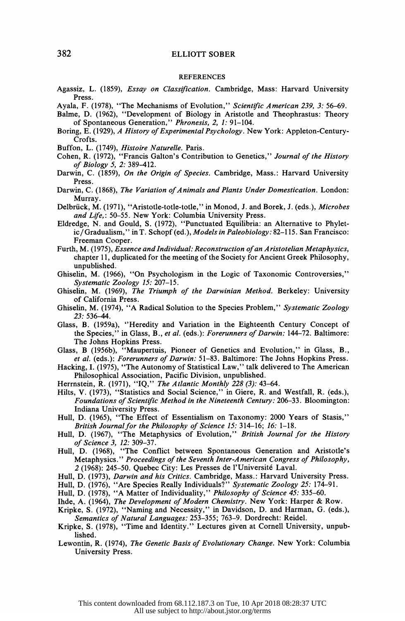#### ELLIOTT SOBER

#### REFERENCES

- Agassiz, L. (1859), Essay on Classification. Cambridge, Mass: Harvard University Press.
- Ayala, F. (1978), "The Mechanisms of Evolution," Scientific American 239, 3: 56-69.
- Balme, D. (1962), "Development of Biology in Aristotle and Theophrastus: Theory of Spontaneous Generation," Phronesis, 2, 1: 91-104.
- Boring, E. (1929), A History of Experimental Psychology. New York: Appleton-Century- Crofts.
- Buffon, L. (1749), Histoire Naturelle. Paris.
- Cohen, R. (1972), "Francis Galton's Contribution to Genetics," Journal of the History of Biology 5, 2: 389-412.
- Darwin, C. (1859), On the Origin of Species. Cambridge, Mass.: Harvard University Press.
- Darwin, C. (1868), The Variation of Animals and Plants Under Domestication. London: Murray.
- Delbriick, M. (1971), "Aristotle-totle-totle," in Monod, J. and Borek, J. (eds.), Microbes and Life,: 50-55. New York: Columbia University Press.
- Eldredge, N. and Gould, S. (1972), "Punctuated Equilibria: an Alternative to Phylet ic/Gradualism," inT. Schopf (ed.), Models in Paleobiology: 82-115. San Francisco: Freeman Cooper.
- Furth, M. (1975), Essence and Individual: Reconstruction of an Aristotelian Metaphysics, chapter 11, duplicated for the meeting of the Society for Ancient Greek Philosophy, unpublished.
- Ghiselin, M. (1966), "On Psychologism in the Logic of Taxonomic Controversies," Systematic Zoology 15: 207-15.
- Ghiselin, M. (1969), The Triumph of the Darwinian Method. Berkeley: University of California Press.
- Ghiselin, M. (1974), "A Radical Solution to the Species Problem," Systematic Zoology 23: 536-44.
- Glass, B. (1959a), "Heredity and Variation in the Eighteenth Century Concept of the Species," in Glass, B., et al. (eds.): Forerunners of Darwin: 144-72. Baltimore: The Johns Hopkins Press.
- Glass, B (1956b), "Maupertuis, Pioneer of Genetics and Evolution," in Glass, B., et al. (eds.): Forerunners of Darwin: 51-83. Baltimore: The Johns Hopkins Press.
- Hacking, I. (1975), "The Autonomy of Statistical Law," talk delivered to The American Philosophical Association, Pacific Division, unpublished.
- Herrnstein, R. (1971), "IQ," The Atlantic Monthly 228 (3): 43-64.
- Hilts, V. (1973), "Statistics and Social Science," in Giere, R. and Westfall, R. (eds.), Foundations of Scientific Method in the Nineteenth Century: 206-33. Bloomington: Indiana University Press.
- Hull, D. (1965), "The Effect of Essentialism on Taxonomy: 2000 Years of Stasis," British Journal for the Philosophy of Science 15: 314-16; 16: 1-18.
- Hull, D. (1967), "The Metaphysics of Evolution," British Journal for the History of Science 3, 12: 309-37.
- Hull, D. (1968), "The Conflict between Spontaneous Generation and Aristotle's Metaphysics." Proceedings of the Seventh Inter-A merican Congress of Philosophy, 2 (1968): 245-50. Quebec City: Les Presses de l'Université Laval.
- Hull, D. (1973), Darwin and his Critics. Cambridge, Mass.: Harvard University Press.
- Hull, D. (1976), "Are Species Really Individuals?" Systematic Zoology 25: 174-91.
- Hull, D. (1978), "A Matter of Individuality," *Philosophy of Science 45:* 335–60.
- Ihde, A. (1964), The Development of Modern Chemistry. New York: Harper & Row.
- Kripke, S. (1972), "Naming and Necessity," in Davidson, D. and Harman, G. (eds.), Semantics of Natural Languages: 253-355; 763-9. Dordrecht: Reidel.
- Kripke, S. (1978), "Time and Identity." Lectures given at Cornell University, unpub lished.
- Lewontin, R. (1974), The Genetic Basis of Evolutionary Change. New York: Columbia University Press.